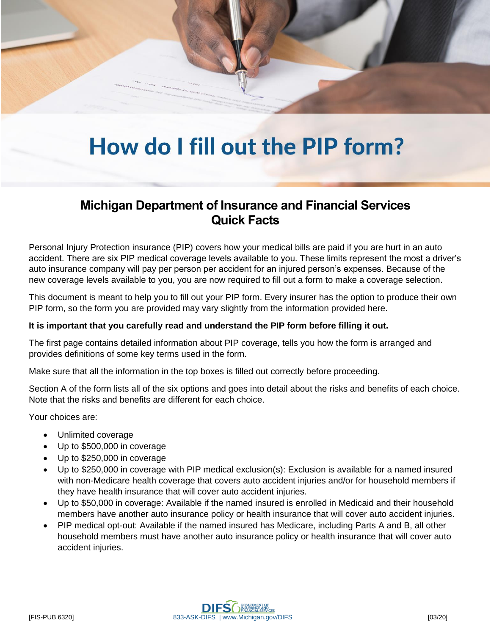## How do I fill out the PIP form?

## **Michigan Department of Insurance and Financial Services Quick Facts**

Personal Injury Protection insurance (PIP) covers how your medical bills are paid if you are hurt in an auto accident. There are six PIP medical coverage levels available to you. These limits represent the most a driver's auto insurance company will pay per person per accident for an injured person's expenses. Because of the new coverage levels available to you, you are now required to fill out a form to make a coverage selection.

This document is meant to help you to fill out your PIP form. Every insurer has the option to produce their own PIP form, so the form you are provided may vary slightly from the information provided here.

## **It is important that you carefully read and understand the PIP form before filling it out.**

The first page contains detailed information about PIP coverage, tells you how the form is arranged and provides definitions of some key terms used in the form.

Make sure that all the information in the top boxes is filled out correctly before proceeding.

Section A of the form lists all of the six options and goes into detail about the risks and benefits of each choice. Note that the risks and benefits are different for each choice.

Your choices are:

- Unlimited coverage
- Up to \$500,000 in coverage
- Up to \$250,000 in coverage
- Up to \$250,000 in coverage with PIP medical exclusion(s): Exclusion is available for a named insured with non-Medicare health coverage that covers auto accident injuries and/or for household members if they have health insurance that will cover auto accident injuries.
- Up to \$50,000 in coverage: Available if the named insured is enrolled in Medicaid and their household members have another auto insurance policy or health insurance that will cover auto accident injuries.
- PIP medical opt-out: Available if the named insured has Medicare, including Parts A and B, all other household members must have another auto insurance policy or health insurance that will cover auto accident injuries.